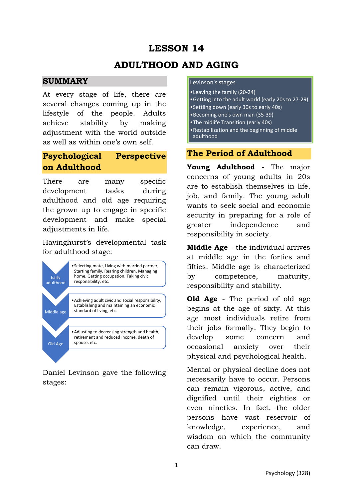# **LESSON 14**

# **ADULTHOOD AND AGING**

#### **SUMMARY**

At every stage of life, there are several changes coming up in the lifestyle of the people. Adults achieve stability by making adjustment with the world outside as well as within one's own self.

# **Psychological Perspective on Adulthood**

There are many specific development tasks during adulthood and old age requiring the grown up to engage in specific development and make special adjustments in life.

Havinghurst's developmental task for adulthood stage:



Daniel Levinson gave the following stages:

#### Levinson's stages

- •Leaving the family (20-24)
- •Getting into the adult world (early 20s to 27-29)
- •Settling down (early 30s to early 40s)
- •Becoming one's own man (35-39)
- •The midlife Transition (early 40s)
- •Restabilization and the beginning of middle adulthood

### **The Period of Adulthood**

**Young Adulthood** - The major concerns of young adults in 20s are to establish themselves in life, job, and family. The young adult wants to seek social and economic security in preparing for a role of greater independence and responsibility in society.

**Middle Age** - the individual arrives at middle age in the forties and fifties. Middle age is characterized by competence, maturity, responsibility and stability.

**Old Age** - The period of old age begins at the age of sixty. At this age most individuals retire from their jobs formally. They begin to develop some concern and occasional anxiety over their physical and psychological health.

Mental or physical decline does not necessarily have to occur. Persons can remain vigorous, active, and dignified until their eighties or even nineties. In fact, the older persons have vast reservoir of knowledge, experience, and wisdom on which the community can draw.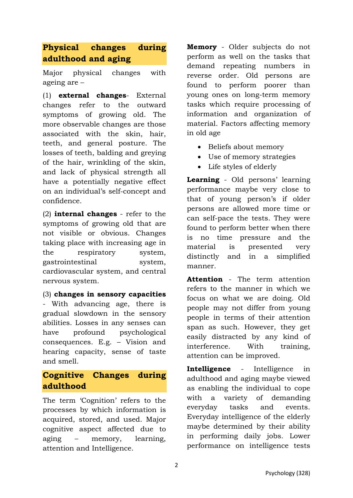# **Physical changes during adulthood and aging**

Major physical changes with ageing are –

(1) **external changes**- External changes refer to the outward symptoms of growing old. The more observable changes are those associated with the skin, hair, teeth, and general posture. The losses of teeth, balding and greying of the hair, wrinkling of the skin, and lack of physical strength all have a potentially negative effect on an individual's self-concept and confidence.

(2) **internal changes** - refer to the symptoms of growing old that are not visible or obvious. Changes taking place with increasing age in the respiratory system, gastrointestinal system, cardiovascular system, and central nervous system.

(3) **changes in sensory capacities** - With advancing age, there is gradual slowdown in the sensory abilities. Losses in any senses can have profound psychological consequences. E.g. – Vision and hearing capacity, sense of taste and smell.

### **Cognitive Changes during adulthood**

The term 'Cognition' refers to the processes by which information is acquired, stored, and used. Major cognitive aspect affected due to aging – memory, learning, attention and Intelligence.

**Memory** - Older subjects do not perform as well on the tasks that demand repeating numbers in reverse order. Old persons are found to perform poorer than young ones on long-term memory tasks which require processing of information and organization of material. Factors affecting memory in old age

- Beliefs about memory
- Use of memory strategies
- Life styles of elderly

**Learning** - Old persons' learning performance maybe very close to that of young person's if older persons are allowed more time or can self-pace the tests. They were found to perform better when there is no time pressure and the material is presented very distinctly and in a simplified manner.

**Attention** - The term attention refers to the manner in which we focus on what we are doing. Old people may not differ from young people in terms of their attention span as such. However, they get easily distracted by any kind of interference. With training, attention can be improved.

**Intelligence** - Intelligence in adulthood and aging maybe viewed as enabling the individual to cope with a variety of demanding everyday tasks and events. Everyday intelligence of the elderly maybe determined by their ability in performing daily jobs. Lower performance on intelligence tests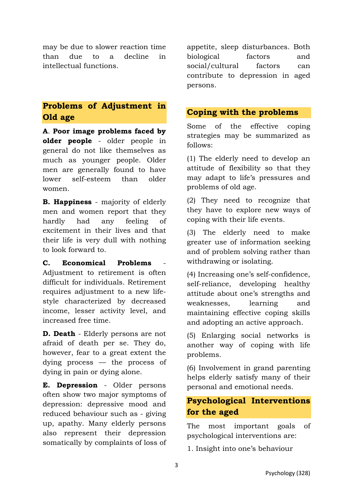may be due to slower reaction time than due to a decline in intellectual functions.

### **Problems of Adjustment in Old age**

**A**. **Poor image problems faced by older people** - older people in general do not like themselves as much as younger people. Older men are generally found to have lower self-esteem than older women.

**B. Happiness** - majority of elderly men and women report that they hardly had any feeling of excitement in their lives and that their life is very dull with nothing to look forward to.

C. Economical Problems Adjustment to retirement is often difficult for individuals. Retirement requires adjustment to a new lifestyle characterized by decreased income, lesser activity level, and increased free time.

**D. Death** - Elderly persons are not afraid of death per se. They do, however, fear to a great extent the dying process — the process of dying in pain or dying alone.

**E. Depression** - Older persons often show two major symptoms of depression: depressive mood and reduced behaviour such as - giving up, apathy. Many elderly persons also represent their depression somatically by complaints of loss of

appetite, sleep disturbances. Both biological factors and social/cultural factors can contribute to depression in aged persons.

#### **Coping with the problems**

Some of the effective coping strategies may be summarized as follows:

(1) The elderly need to develop an attitude of flexibility so that they may adapt to life's pressures and problems of old age.

(2) They need to recognize that they have to explore new ways of coping with their life events.

(3) The elderly need to make greater use of information seeking and of problem solving rather than withdrawing or isolating.

(4) Increasing one's self-confidence, self-reliance, developing healthy attitude about one's strengths and weaknesses, learning and maintaining effective coping skills and adopting an active approach.

(5) Enlarging social networks is another way of coping with life problems.

(6) Involvement in grand parenting helps elderly satisfy many of their personal and emotional needs.

## **Psychological Interventions for the aged**

The most important goals of psychological interventions are:

1. Insight into one's behaviour